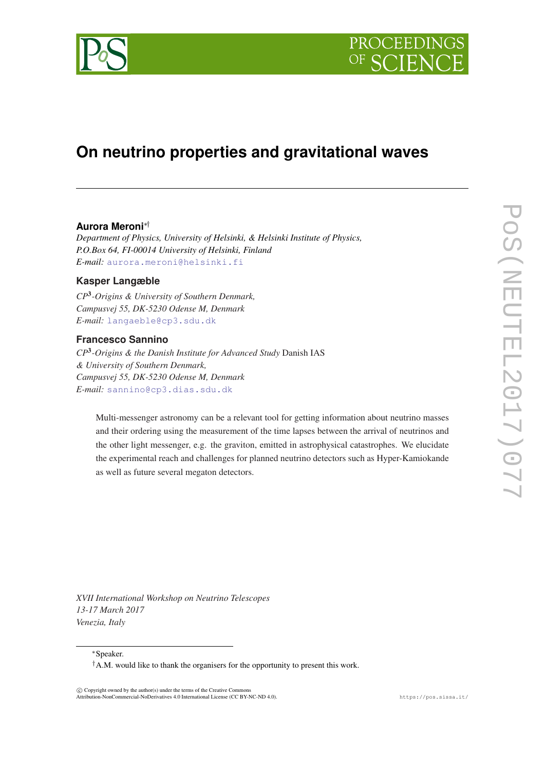



# **On neutrino properties and gravitational waves**

## **Aurora Meroni**∗†

*Department of Physics, University of Helsinki, & Helsinki Institute of Physics, P.O.Box 64, FI-00014 University of Helsinki, Finland E-mail:* [aurora.meroni@helsinki.fi](mailto:aurora.meroni@helsinki.fi)

# **Kasper Langæble**

*CP*<sup>3</sup> *-Origins & University of Southern Denmark, Campusvej 55, DK-5230 Odense M, Denmark E-mail:* [langaeble@cp3.sdu.dk](mailto:langaeble@cp3.sdu.dk)

# **Francesco Sannino**

*CP*<sup>3</sup> *-Origins & the Danish Institute for Advanced Study* Danish IAS *& University of Southern Denmark, Campusvej 55, DK-5230 Odense M, Denmark E-mail:* [sannino@cp3.dias.sdu.dk](mailto:sannino@cp3.dias.sdu.dk)

Multi-messenger astronomy can be a relevant tool for getting information about neutrino masses and their ordering using the measurement of the time lapses between the arrival of neutrinos and the other light messenger, e.g. the graviton, emitted in astrophysical catastrophes. We elucidate the experimental reach and challenges for planned neutrino detectors such as Hyper-Kamiokande as well as future several megaton detectors.

*XVII International Workshop on Neutrino Telescopes 13-17 March 2017 Venezia, Italy*

<sup>∗</sup>Speaker.

 $\overline{c}$  Copyright owned by the author(s) under the terms of the Creative Common Attribution-NonCommercial-NoDerivatives 4.0 International License (CC BY-NC-ND 4.0). https://pos.sissa.it/

<sup>&</sup>lt;sup>†</sup>A.M. would like to thank the organisers for the opportunity to present this work.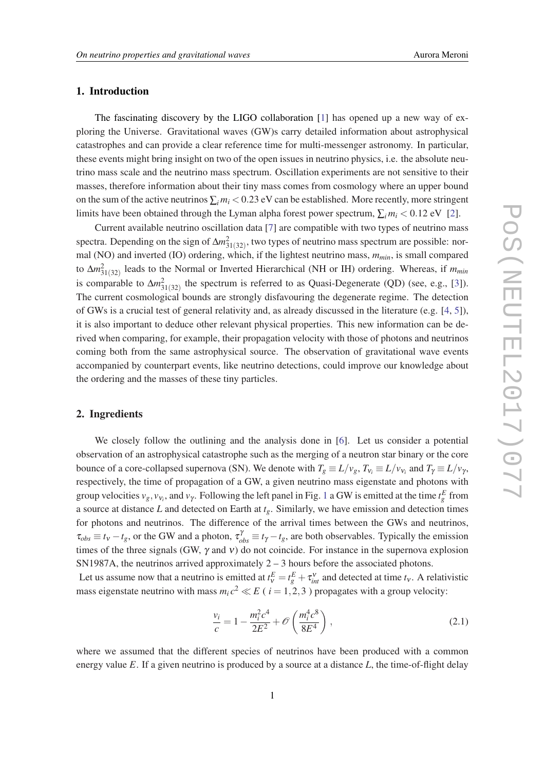## 1. Introduction

The fascinating discovery by the LIGO collaboration [\[1\]](#page-4-0) has opened up a new way of exploring the Universe. Gravitational waves (GW)s carry detailed information about astrophysical catastrophes and can provide a clear reference time for multi-messenger astronomy. In particular, these events might bring insight on two of the open issues in neutrino physics, i.e. the absolute neutrino mass scale and the neutrino mass spectrum. Oscillation experiments are not sensitive to their masses, therefore information about their tiny mass comes from cosmology where an upper bound on the sum of the active neutrinos  $\sum_i m_i < 0.23$  eV can be established. More recently, more stringent limits have been obtained through the Lyman alpha forest power spectrum,  $\sum_i m_i < 0.12$  $\sum_i m_i < 0.12$  eV [2].

Current available neutrino oscillation data [\[7\]](#page-4-0) are compatible with two types of neutrino mass spectra. Depending on the sign of  $\Delta m_{31(32)}^2$ , two types of neutrino mass spectrum are possible: normal (NO) and inverted (IO) ordering, which, if the lightest neutrino mass, *mmin*, is small compared to ∆ $m_{31(32)}^2$  leads to the Normal or Inverted Hierarchical (NH or IH) ordering. Whereas, if  $m_{min}$ is comparable to  $\Delta m_{31(32)}^2$  the spectrum is referred to as Quasi-Degenerate (QD) (see, e.g., [\[3\]](#page-4-0)). The current cosmological bounds are strongly disfavouring the degenerate regime. The detection of GWs is a crucial test of general relativity and, as already discussed in the literature (e.g. [[4,](#page-4-0) [5\]](#page-4-0)), it is also important to deduce other relevant physical properties. This new information can be derived when comparing, for example, their propagation velocity with those of photons and neutrinos coming both from the same astrophysical source. The observation of gravitational wave events accompanied by counterpart events, like neutrino detections, could improve our knowledge about the ordering and the masses of these tiny particles.

# 2. Ingredients

We closely follow the outlining and the analysis done in [\[6\]](#page-4-0). Let us consider a potential observation of an astrophysical catastrophe such as the merging of a neutron star binary or the core bounce of a core-collapsed supernova (SN). We denote with  $T_g \equiv L/v_g$ ,  $T_{v_i} \equiv L/v_{v_i}$  and  $T_\gamma \equiv L/v_\gamma$ , respectively, the time of propagation of a GW, a given neutrino mass eigenstate and photons with group velocities  $v_g$ ,  $v_{v_i}$ , and  $v_{\gamma}$ . Following the left panel in Fig. [1](#page-2-0) a GW is emitted at the time  $t_g^E$  from a source at distance *L* and detected on Earth at *tg*. Similarly, we have emission and detection times for photons and neutrinos. The difference of the arrival times between the GWs and neutrinos,  $\tau_{obs} \equiv t_V - t_g$ , or the GW and a photon,  $\tau_{obs}^{\gamma} \equiv t_{\gamma} - t_g$ , are both observables. Typically the emission times of the three signals (GW,  $\gamma$  and v) do not coincide. For instance in the supernova explosion SN1987A, the neutrinos arrived approximately  $2 - 3$  hours before the associated photons.

Let us assume now that a neutrino is emitted at  $t_v^E = t_g^E + \tau_{int}^v$  and detected at time  $t_v$ . A relativistic mass eigenstate neutrino with mass  $m_i c^2 \ll E$  ( $i = 1, 2, 3$ ) propagates with a group velocity:

$$
\frac{v_i}{c} = 1 - \frac{m_i^2 c^4}{2E^2} + \mathcal{O}\left(\frac{m_i^4 c^8}{8E^4}\right),\tag{2.1}
$$

where we assumed that the different species of neutrinos have been produced with a common energy value *E*. If a given neutrino is produced by a source at a distance *L*, the time-of-flight delay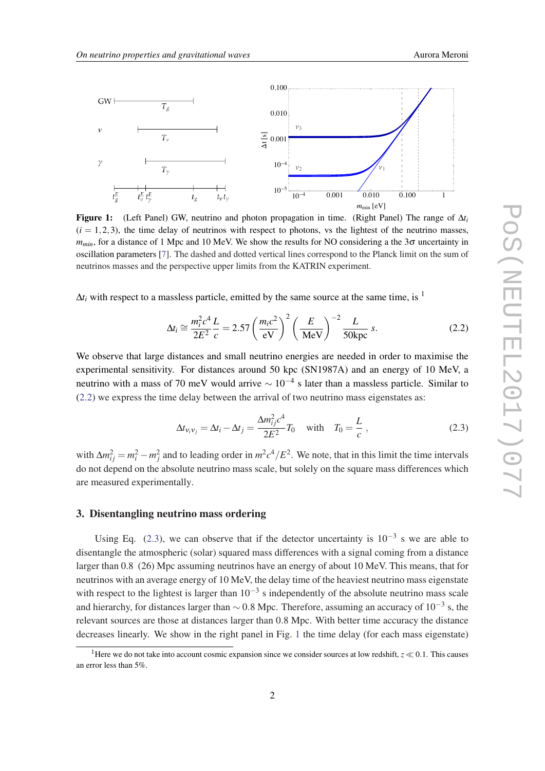<span id="page-2-0"></span>

Figure 1: (Left Panel) GW, neutrino and photon propagation in time. (Right Panel) The range of ∆*t<sup>i</sup>*  $(i = 1, 2, 3)$ , the time delay of neutrinos with respect to photons, vs the lightest of the neutrino masses,  $m_{min}$ , for a distance of 1 Mpc and 10 MeV. We show the results for NO considering a the 3 $\sigma$  uncertainty in oscillation parameters [[7\]](#page-4-0). The dashed and dotted vertical lines correspond to the Planck limit on the sum of neutrinos masses and the perspective upper limits from the KATRIN experiment.

 $\Delta t_i$  with respect to a massless particle, emitted by the same source at the same time, is <sup>1</sup>

$$
\Delta t_i \cong \frac{m_i^2 c^4}{2E^2} \frac{L}{c} = 2.57 \left(\frac{m_i c^2}{\text{eV}}\right)^2 \left(\frac{E}{\text{MeV}}\right)^{-2} \frac{L}{50 \text{kpc}} \, s. \tag{2.2}
$$

We observe that large distances and small neutrino energies are needed in order to maximise the experimental sensitivity. For distances around 50 kpc (SN1987A) and an energy of 10 MeV, a neutrino with a mass of 70 meV would arrive  $\sim 10^{-4}$  s later than a massless particle. Similar to (2.2) we express the time delay between the arrival of two neutrino mass eigenstates as:

$$
\Delta t_{\mathbf{v}_i \mathbf{v}_j} = \Delta t_i - \Delta t_j = \frac{\Delta m_{ij}^2 c^4}{2E^2} T_0 \quad \text{with} \quad T_0 = \frac{L}{c} \,, \tag{2.3}
$$

with  $\Delta m_{ij}^2 = m_i^2 - m_j^2$  and to leading order in  $m^2 c^4 / E^2$ . We note, that in this limit the time intervals do not depend on the absolute neutrino mass scale, but solely on the square mass differences which are measured experimentally.

#### 3. Disentangling neutrino mass ordering

Using Eq. (2.3), we can observe that if the detector uncertainty is  $10^{-3}$  s we are able to disentangle the atmospheric (solar) squared mass differences with a signal coming from a distance larger than 0.8 (26) Mpc assuming neutrinos have an energy of about 10 MeV. This means, that for neutrinos with an average energy of 10 MeV, the delay time of the heaviest neutrino mass eigenstate with respect to the lightest is larger than  $10^{-3}$  s independently of the absolute neutrino mass scale and hierarchy, for distances larger than  $\sim$  0.8 Mpc. Therefore, assuming an accuracy of 10<sup>-3</sup> s, the relevant sources are those at distances larger than 0.8 Mpc. With better time accuracy the distance decreases linearly. We show in the right panel in Fig. 1 the time delay (for each mass eigenstate)

<sup>&</sup>lt;sup>1</sup>Here we do not take into account cosmic expansion since we consider sources at low redshift,  $z \ll 0.1$ . This causes an error less than 5%.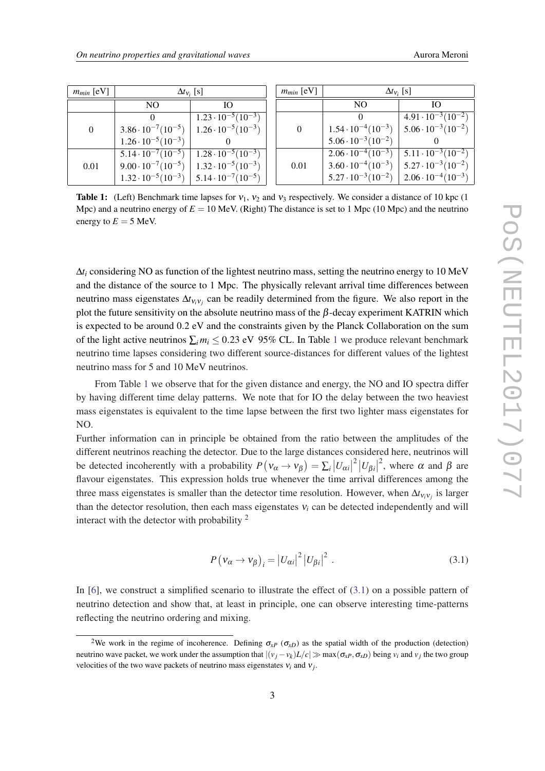| $m_{min}$ [eV] | $\Delta t_{V_i}$ [s]                                            |                                |  | $m_{min}$ [eV] | $\Delta t_{V_i}$ [s]                                            |                                |
|----------------|-----------------------------------------------------------------|--------------------------------|--|----------------|-----------------------------------------------------------------|--------------------------------|
|                | NO.                                                             | Ю                              |  |                | N <sub>O</sub>                                                  | IO.                            |
| $\mathbf{0}$   |                                                                 | $1.23 \cdot 10^{-5} (10^{-3})$ |  | 0              |                                                                 | $4.91 \cdot 10^{-3} (10^{-2})$ |
|                | $3.86 \cdot 10^{-7} (10^{-5})$                                  | $1.26 \cdot 10^{-5} (10^{-3})$ |  |                | $1.54 \cdot 10^{-4} (10^{-3})$                                  | $5.06 \cdot 10^{-3} (10^{-2})$ |
|                | $1.26 \cdot 10^{-5} (10^{-3})$                                  |                                |  |                | $5.06 \cdot 10^{-3} (10^{-2})$                                  |                                |
| 0.01           | $5.14 \cdot 10^{-7} (10^{-5})$   $1.28 \cdot 10^{-5} (10^{-3})$ |                                |  | 0.01           | $2.06 \cdot 10^{-4} (10^{-3})$   $5.11 \cdot 10^{-3} (10^{-2})$ |                                |
|                | $9.00 \cdot 10^{-7} (10^{-5})$                                  | $1.32 \cdot 10^{-5} (10^{-3})$ |  |                | $3.60 \cdot 10^{-4} (10^{-3})$                                  | $5.27 \cdot 10^{-3} (10^{-2})$ |
|                | $1.32 \cdot 10^{-5} (10^{-3})$   5.14 $\cdot 10^{-7} (10^{-5})$ |                                |  |                | $5.27 \cdot 10^{-3} (10^{-2})$                                  | $2.06 \cdot 10^{-4} (10^{-3})$ |

**Table 1:** (Left) Benchmark time lapses for  $v_1$ ,  $v_2$  and  $v_3$  respectively. We consider a distance of 10 kpc (1) Mpc) and a neutrino energy of  $E = 10$  MeV. (Right) The distance is set to 1 Mpc (10 Mpc) and the neutrino energy to  $E = 5$  MeV.

∆*t<sup>i</sup>* considering NO as function of the lightest neutrino mass, setting the neutrino energy to 10 MeV and the distance of the source to 1 Mpc. The physically relevant arrival time differences between neutrino mass eigenstates ∆*t*ν*i*ν*<sup>j</sup>* can be readily determined from the figure. We also report in the plot the future sensitivity on the absolute neutrino mass of the  $\beta$ -decay experiment KATRIN which is expected to be around 0.2 eV and the constraints given by the Planck Collaboration on the sum of the light active neutrinos  $\sum_i m_i \leq 0.23$  eV 95% CL. In Table 1 we produce relevant benchmark neutrino time lapses considering two different source-distances for different values of the lightest neutrino mass for 5 and 10 MeV neutrinos.

From Table 1 we observe that for the given distance and energy, the NO and IO spectra differ by having different time delay patterns. We note that for IO the delay between the two heaviest mass eigenstates is equivalent to the time lapse between the first two lighter mass eigenstates for NO.

Further information can in principle be obtained from the ratio between the amplitudes of the different neutrinos reaching the detector. Due to the large distances considered here, neutrinos will be detected incoherently with a probability  $P(V_{\alpha} \to V_{\beta}) = \sum_{i} |U_{\alpha i}|$  $2|U_{\beta i}|$ <sup>2</sup>, where  $\alpha$  and  $\beta$  are flavour eigenstates. This expression holds true whenever the time arrival differences among the three mass eigenstates is smaller than the detector time resolution. However, when  $\Delta t_{V_i V_j}$  is larger than the detector resolution, then each mass eigenstates  $v_i$  can be detected independently and will interact with the detector with probability <sup>2</sup>

$$
P(v_{\alpha} \to v_{\beta})_i = |U_{\alpha i}|^2 |U_{\beta i}|^2 . \qquad (3.1)
$$

In [[6](#page-4-0)], we construct a simplified scenario to illustrate the effect of (3.1) on a possible pattern of neutrino detection and show that, at least in principle, one can observe interesting time-patterns reflecting the neutrino ordering and mixing.

<sup>&</sup>lt;sup>2</sup>We work in the regime of incoherence. Defining  $\sigma_{\chi}$  ( $\sigma_{\chi}$ ) as the spatial width of the production (detection) neutrino wave packet, we work under the assumption that  $|(v_j - v_k)L/c| \gg \max(\sigma_{xP}, \sigma_{xD})$  being  $v_i$  and  $v_j$  the two group velocities of the two wave packets of neutrino mass eigenstates ν*i* and ν*j* .